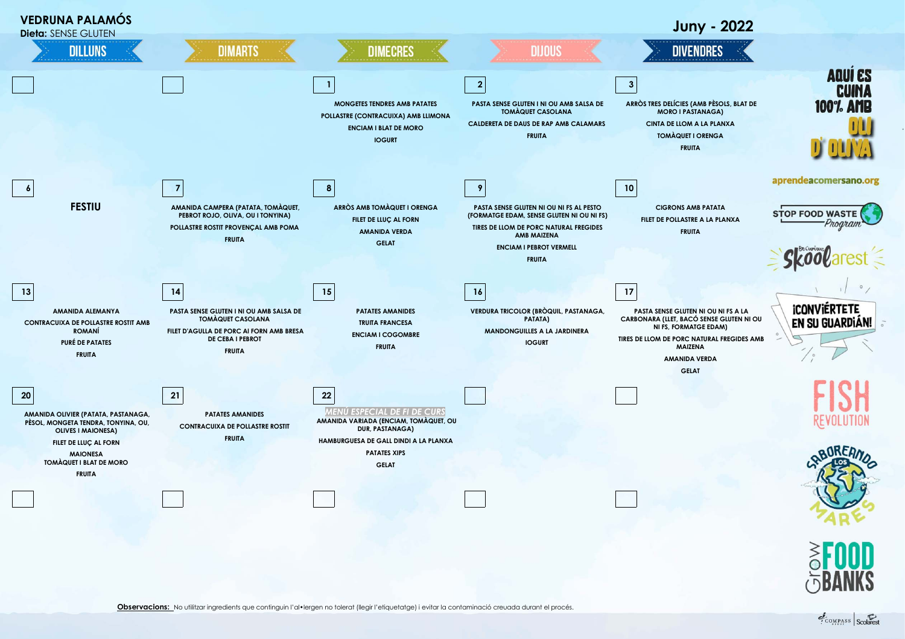